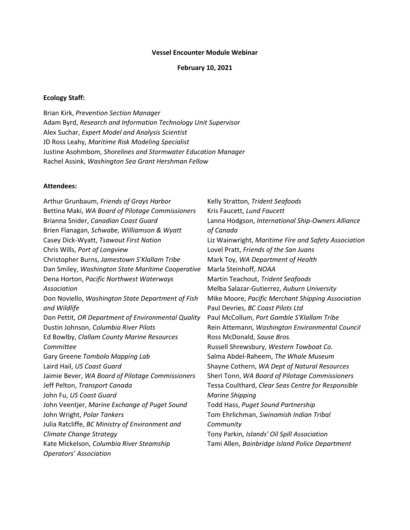#### **Vessel Encounter Module Webinar**

**February 10, 2021**

#### **Ecology Staff:**

Brian Kirk, *Prevention Section Manager* Adam Byrd, *Research and Information Technology Unit Supervisor* Alex Suchar, *Expert Model and Analysis Scientist* JD Ross Leahy, *Maritime Risk Modeling Specialist* Justine Asohmbom, *Shorelines and Stormwater Education Manager*  Rachel Assink, *Washington Sea Grant Hershman Fellow*

#### **Attendees:**

Arthur Grunbaum, *Friends of Grays Harbor* Bettina Maki, *WA Board of Pilotage Commissioners* Brianna Snider, *Canadian Coast Guard* Brien Flanagan, *Schwabe, Williamson & Wyatt* Casey Dick-Wyatt, *Tsawout First Nation* Chris Wills, *Port of Longview* Christopher Burns, *Jamestown S'Klallam Tribe* Dan Smiley, *Washington State Maritime Cooperative* Dena Horton, *Pacific Northwest Waterways Association* Don Noviello, *Washington State Department of Fish and Wildlife* Don Pettit, *OR Department of Environmental Quality* Dustin Johnson, *Columbia River Pilots* Ed Bowlby, *Clallam County Marine Resources Committee* Gary Greene *Tombolo Mapping Lab* Laird Hail, *US Coast Guard* Jaimie Bever, *WA Board of Pilotage Commissioners* Jeff Pelton, *Transport Canada* John Fu, *US Coast Guard* John Veentjer, *Marine Exchange of Puget Sound* John Wright, *Polar Tankers* Julia Ratcliffe, *BC Ministry of Environment and Climate Change Strategy* Kate Mickelson, *Columbia River Steamship Operators' Association*

Kelly Stratton, *Trident Seafoods* Kris Faucett, *Lund Faucett* Lanna Hodgson, *International Ship-Owners Alliance of Canada* Liz Wainwright, *Maritime Fire and Safety Association* Lovel Pratt, *Friends of the San Juans* Mark Toy, *WA Department of Health* Marla Steinhoff, *NOAA* Martin Teachout, *Trident Seafoods* Melba Salazar-Gutierrez, *Auburn University* Mike Moore, *Pacific Merchant Shipping Association* Paul Devries, *BC Coast Pilots Ltd* Paul McCollum, *Port Gamble S'Klallam Tribe* Rein Attemann, *Washington Environmental Council* Ross McDonald, *Sause Bros.* Russell Shrewsbury, *Western Towboat Co.* Salma Abdel-Raheem, *The Whale Museum* Shayne Cothern, *WA Dept of Natural Resources* Sheri Tonn, *WA Board of Pilotage Commissioners* Tessa Coulthard, *Clear Seas Centre for Responsible Marine Shipping* Todd Hass, *Puget Sound Partnership* Tom Ehrlichman, *Swinomish Indian Tribal Community* Tony Parkin, *Islands' Oil Spill Association* Tami Allen, *Bainbridge Island Police Department*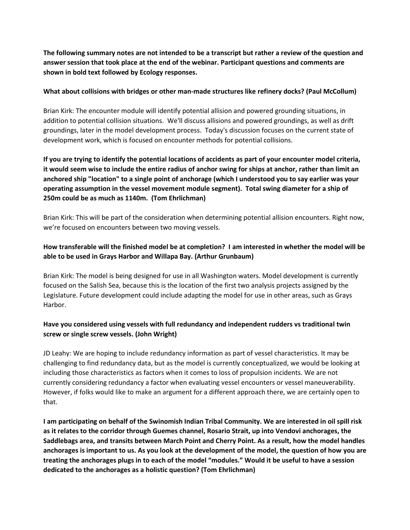**The following summary notes are not intended to be a transcript but rather a review of the question and answer session that took place at the end of the webinar. Participant questions and comments are shown in bold text followed by Ecology responses.**

#### **What about collisions with bridges or other man-made structures like refinery docks? (Paul McCollum)**

Brian Kirk: The encounter module will identify potential allision and powered grounding situations, in addition to potential collision situations. We'll discuss allisions and powered groundings, as well as drift groundings, later in the model development process. Today's discussion focuses on the current state of development work, which is focused on encounter methods for potential collisions.

**If you are trying to identify the potential locations of accidents as part of your encounter model criteria, it would seem wise to include the entire radius of anchor swing for ships at anchor, rather than limit an anchored ship "location" to a single point of anchorage (which I understood you to say earlier was your operating assumption in the vessel movement module segment). Total swing diameter for a ship of 250m could be as much as 1140m. (Tom Ehrlichman)**

Brian Kirk: This will be part of the consideration when determining potential allision encounters. Right now, we're focused on encounters between two moving vessels.

# **How transferable will the finished model be at completion? I am interested in whether the model will be able to be used in Grays Harbor and Willapa Bay. (Arthur Grunbaum)**

Brian Kirk: The model is being designed for use in all Washington waters. Model development is currently focused on the Salish Sea, because this is the location of the first two analysis projects assigned by the Legislature. Future development could include adapting the model for use in other areas, such as Grays Harbor.

### **Have you considered using vessels with full redundancy and independent rudders vs traditional twin screw or single screw vessels. (John Wright)**

JD Leahy: We are hoping to include redundancy information as part of vessel characteristics. It may be challenging to find redundancy data, but as the model is currently conceptualized, we would be looking at including those characteristics as factors when it comes to loss of propulsion incidents. We are not currently considering redundancy a factor when evaluating vessel encounters or vessel maneuverability. However, if folks would like to make an argument for a different approach there, we are certainly open to that.

**I am participating on behalf of the Swinomish Indian Tribal Community. We are interested in oil spill risk as it relates to the corridor through Guemes channel, Rosario Strait, up into Vendovi anchorages, the Saddlebags area, and transits between March Point and Cherry Point. As a result, how the model handles anchorages is important to us. As you look at the development of the model, the question of how you are treating the anchorages plugs in to each of the model "modules." Would it be useful to have a session dedicated to the anchorages as a holistic question? (Tom Ehrlichman)**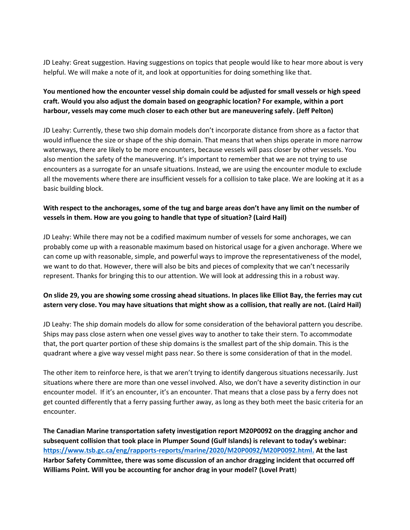JD Leahy: Great suggestion. Having suggestions on topics that people would like to hear more about is very helpful. We will make a note of it, and look at opportunities for doing something like that.

# **You mentioned how the encounter vessel ship domain could be adjusted for small vessels or high speed craft. Would you also adjust the domain based on geographic location? For example, within a port harbour, vessels may come much closer to each other but are maneuvering safely. (Jeff Pelton)**

JD Leahy: Currently, these two ship domain models don't incorporate distance from shore as a factor that would influence the size or shape of the ship domain. That means that when ships operate in more narrow waterways, there are likely to be more encounters, because vessels will pass closer by other vessels. You also mention the safety of the maneuvering. It's important to remember that we are not trying to use encounters as a surrogate for an unsafe situations. Instead, we are using the encounter module to exclude all the movements where there are insufficient vessels for a collision to take place. We are looking at it as a basic building block.

### **With respect to the anchorages, some of the tug and barge areas don't have any limit on the number of vessels in them. How are you going to handle that type of situation? (Laird Hail)**

JD Leahy: While there may not be a codified maximum number of vessels for some anchorages, we can probably come up with a reasonable maximum based on historical usage for a given anchorage. Where we can come up with reasonable, simple, and powerful ways to improve the representativeness of the model, we want to do that. However, there will also be bits and pieces of complexity that we can't necessarily represent. Thanks for bringing this to our attention. We will look at addressing this in a robust way.

### **On slide 29, you are showing some crossing ahead situations. In places like Elliot Bay, the ferries may cut astern very close. You may have situations that might show as a collision, that really are not. (Laird Hail)**

JD Leahy: The ship domain models do allow for some consideration of the behavioral pattern you describe. Ships may pass close astern when one vessel gives way to another to take their stern. To accommodate that, the port quarter portion of these ship domains is the smallest part of the ship domain. This is the quadrant where a give way vessel might pass near. So there is some consideration of that in the model.

The other item to reinforce here, is that we aren't trying to identify dangerous situations necessarily. Just situations where there are more than one vessel involved. Also, we don't have a severity distinction in our encounter model. If it's an encounter, it's an encounter. That means that a close pass by a ferry does not get counted differently that a ferry passing further away, as long as they both meet the basic criteria for an encounter.

**The Canadian Marine transportation safety investigation report M20P0092 on the dragging anchor and subsequent collision that took place in Plumper Sound (Gulf Islands) is relevant to today's webinar: [https://www.tsb.gc.ca/eng/rapports-reports/marine/2020/M20P0092/M20P0092.html.](https://www.tsb.gc.ca/eng/rapports-reports/marine/2020/M20P0092/M20P0092.html) At the last Harbor Safety Committee, there was some discussion of an anchor dragging incident that occurred off Williams Point. Will you be accounting for anchor drag in your model? (Lovel Pratt**)